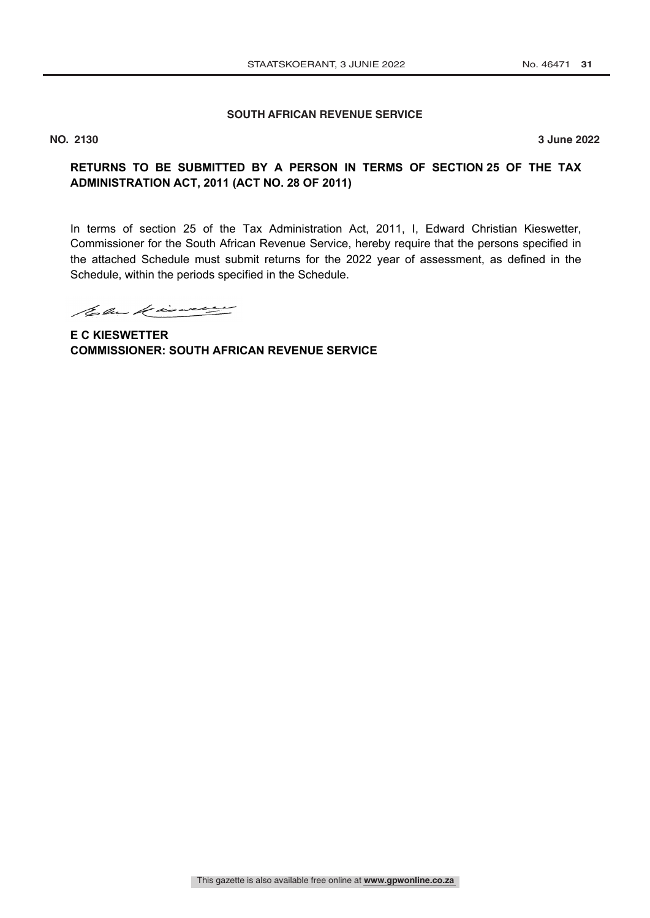#### **SOUTH AFRICAN REVENUE SERVICE No. 3 JUNE 2022**

**NO. 2130 3 June 2022**

# **RETURNS TO BE SUBMITTED BY A PERSON IN TERMS OF SECTION 25 OF THE TAX ADMINISTRATION ACT, 2011 (ACT NO. 28 OF 2011)**

In terms of section 25 of the Tax Administration Act, 2011, I, Edward Christian Kieswetter, Commissioner for the South African Revenue Service, hereby require that the persons specified in the attached Schedule must submit returns for the 2022 year of assessment, as defined in the Schedule, within the periods specified in the Schedule.

Column de insurance

**E C KIESWETTER COMMISSIONER: SOUTH AFRICAN REVENUE SERVICE**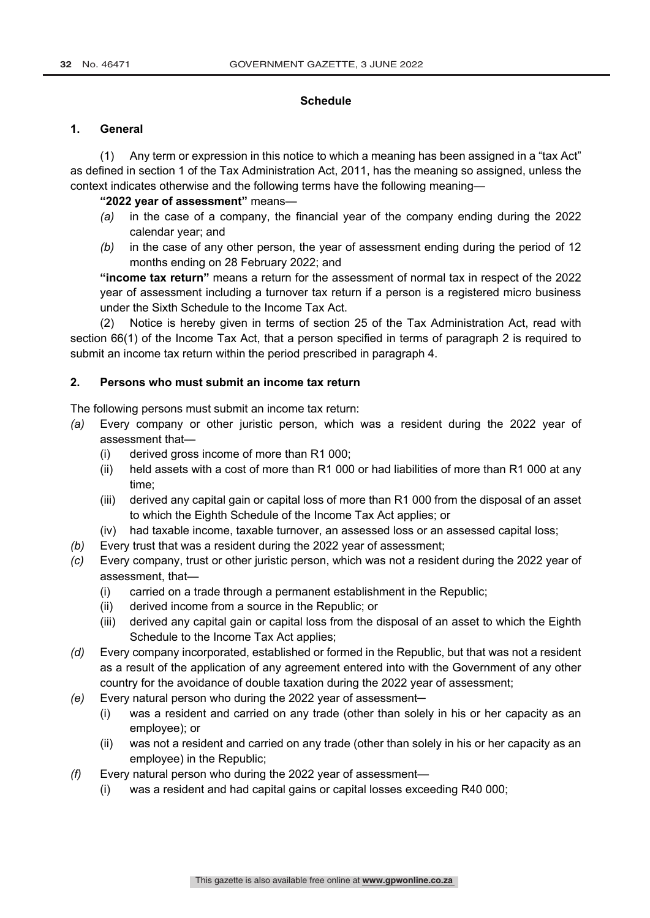#### **Schedule**

#### **1. General**

(1) Any term or expression in this notice to which a meaning has been assigned in a "tax Act" as defined in section 1 of the Tax Administration Act, 2011, has the meaning so assigned, unless the context indicates otherwise and the following terms have the following meaning—

#### **"2022 year of assessment"** means—

- *(a)* in the case of a company, the financial year of the company ending during the 2022 calendar year; and
- *(b)* in the case of any other person, the year of assessment ending during the period of 12 months ending on 28 February 2022; and

**"income tax return"** means a return for the assessment of normal tax in respect of the 2022 year of assessment including a turnover tax return if a person is a registered micro business under the Sixth Schedule to the Income Tax Act.

(2) Notice is hereby given in terms of section 25 of the Tax Administration Act, read with section 66(1) of the Income Tax Act, that a person specified in terms of paragraph 2 is required to submit an income tax return within the period prescribed in paragraph 4.

### **2. Persons who must submit an income tax return**

The following persons must submit an income tax return:

- *(a)* Every company or other juristic person, which was a resident during the 2022 year of assessment that—
	- (i) derived gross income of more than R1 000;
	- (ii) held assets with a cost of more than R1 000 or had liabilities of more than R1 000 at any time;
	- (iii) derived any capital gain or capital loss of more than R1 000 from the disposal of an asset to which the Eighth Schedule of the Income Tax Act applies; or
	- (iv) had taxable income, taxable turnover, an assessed loss or an assessed capital loss;
- *(b)* Every trust that was a resident during the 2022 year of assessment;
- *(c)* Every company, trust or other juristic person, which was not a resident during the 2022 year of assessment, that—
	- (i) carried on a trade through a permanent establishment in the Republic;
	- (ii) derived income from a source in the Republic; or
	- (iii) derived any capital gain or capital loss from the disposal of an asset to which the Eighth Schedule to the Income Tax Act applies;
- *(d)* Every company incorporated, established or formed in the Republic, but that was not a resident as a result of the application of any agreement entered into with the Government of any other country for the avoidance of double taxation during the 2022 year of assessment;
- *(e)* Every natural person who during the 2022 year of assessment—
	- (i) was a resident and carried on any trade (other than solely in his or her capacity as an employee); or
	- (ii) was not a resident and carried on any trade (other than solely in his or her capacity as an employee) in the Republic;
- *(f)* Every natural person who during the 2022 year of assessment—
	- (i) was a resident and had capital gains or capital losses exceeding R40 000;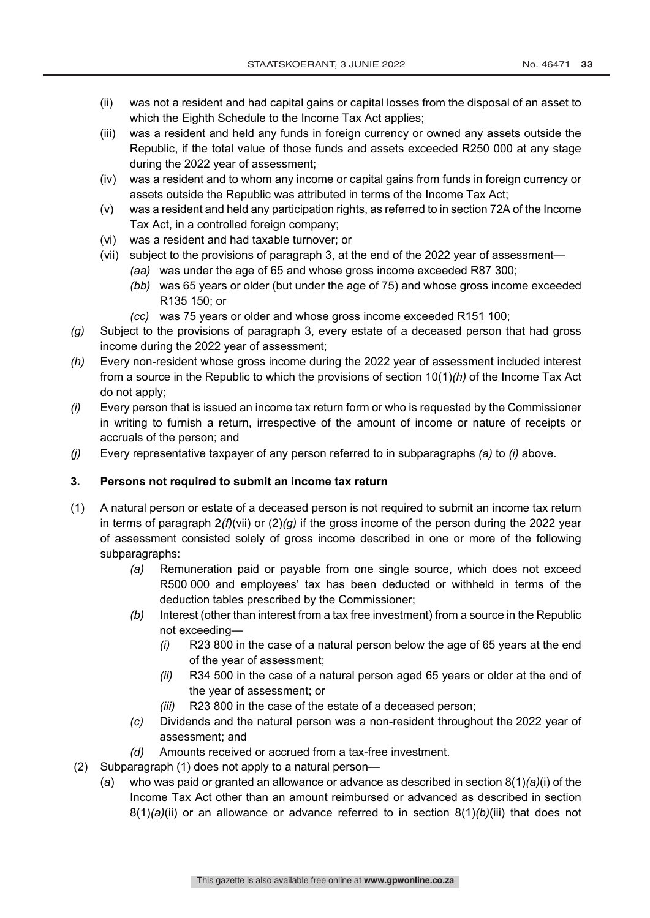- (ii) was not a resident and had capital gains or capital losses from the disposal of an asset to which the Eighth Schedule to the Income Tax Act applies;
- (iii) was a resident and held any funds in foreign currency or owned any assets outside the Republic, if the total value of those funds and assets exceeded R250 000 at any stage during the 2022 year of assessment;
- (iv) was a resident and to whom any income or capital gains from funds in foreign currency or assets outside the Republic was attributed in terms of the Income Tax Act;
- (v) was a resident and held any participation rights, as referred to in section 72A of the Income Tax Act, in a controlled foreign company;
- (vi) was a resident and had taxable turnover; or
- (vii) subject to the provisions of paragraph 3, at the end of the 2022 year of assessment—
	- *(aa)* was under the age of 65 and whose gross income exceeded R87 300;
	- *(bb)* was 65 years or older (but under the age of 75) and whose gross income exceeded R135 150; or
	- *(cc)* was 75 years or older and whose gross income exceeded R151 100;
- *(g)* Subject to the provisions of paragraph 3, every estate of a deceased person that had gross income during the 2022 year of assessment;
- *(h)* Every non-resident whose gross income during the 2022 year of assessment included interest from a source in the Republic to which the provisions of section 10(1)*(h)* of the Income Tax Act do not apply;
- *(i)* Every person that is issued an income tax return form or who is requested by the Commissioner in writing to furnish a return, irrespective of the amount of income or nature of receipts or accruals of the person; and
- *(j)* Every representative taxpayer of any person referred to in subparagraphs *(a)* to *(i)* above.

# **3. Persons not required to submit an income tax return**

- (1) A natural person or estate of a deceased person is not required to submit an income tax return in terms of paragraph 2*(f)*(vii) or (2)*(g)* if the gross income of the person during the 2022 year of assessment consisted solely of gross income described in one or more of the following subparagraphs:
	- *(a)* Remuneration paid or payable from one single source, which does not exceed R500 000 and employees' tax has been deducted or withheld in terms of the deduction tables prescribed by the Commissioner;
	- *(b)* Interest (other than interest from a tax free investment) from a source in the Republic not exceeding—
		- *(i)* R23 800 in the case of a natural person below the age of 65 years at the end of the year of assessment;
		- *(ii)* R34 500 in the case of a natural person aged 65 years or older at the end of the year of assessment; or
		- *(iii)* R23 800 in the case of the estate of a deceased person;
	- *(c)* Dividends and the natural person was a non-resident throughout the 2022 year of assessment; and
	- *(d)* Amounts received or accrued from a tax-free investment.
- (2) Subparagraph (1) does not apply to a natural person—
	- (*a*) who was paid or granted an allowance or advance as described in section 8(1)*(a)*(i) of the Income Tax Act other than an amount reimbursed or advanced as described in section 8(1)*(a)*(ii) or an allowance or advance referred to in section 8(1)*(b)*(iii) that does not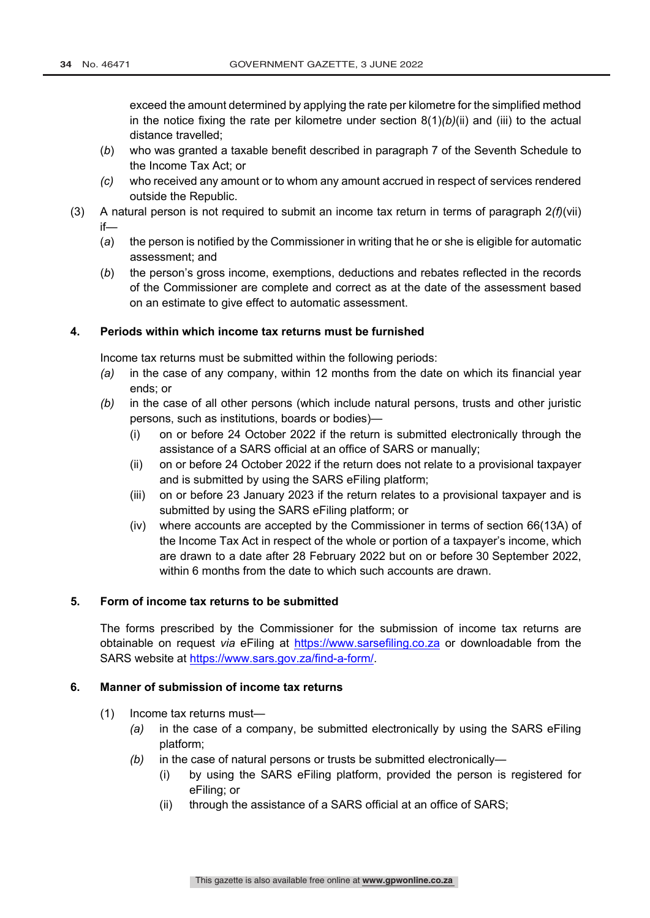exceed the amount determined by applying the rate per kilometre for the simplified method in the notice fixing the rate per kilometre under section 8(1)*(b)*(ii) and (iii) to the actual distance travelled;

- (*b*) who was granted a taxable benefit described in paragraph 7 of the Seventh Schedule to the Income Tax Act; or
- *(c)* who received any amount or to whom any amount accrued in respect of services rendered outside the Republic.
- (3) A natural person is not required to submit an income tax return in terms of paragraph 2*(f)*(vii) if—
	- (*a*) the person is notified by the Commissioner in writing that he or she is eligible for automatic assessment; and
	- (*b*) the person's gross income, exemptions, deductions and rebates reflected in the records of the Commissioner are complete and correct as at the date of the assessment based on an estimate to give effect to automatic assessment.

### **4. Periods within which income tax returns must be furnished**

Income tax returns must be submitted within the following periods:

- *(a)* in the case of any company, within 12 months from the date on which its financial year ends; or
- *(b)* in the case of all other persons (which include natural persons, trusts and other juristic persons, such as institutions, boards or bodies)—
	- (i) on or before 24 October 2022 if the return is submitted electronically through the assistance of a SARS official at an office of SARS or manually;
	- (ii) on or before 24 October 2022 if the return does not relate to a provisional taxpayer and is submitted by using the SARS eFiling platform;
	- (iii) on or before 23 January 2023 if the return relates to a provisional taxpayer and is submitted by using the SARS eFiling platform; or
	- (iv) where accounts are accepted by the Commissioner in terms of section 66(13A) of the Income Tax Act in respect of the whole or portion of a taxpayer's income, which are drawn to a date after 28 February 2022 but on or before 30 September 2022, within 6 months from the date to which such accounts are drawn.

## **5. Form of income tax returns to be submitted**

The forms prescribed by the Commissioner for the submission of income tax returns are obtainable on request *via* eFiling at https://www.sarsefiling.co.za or downloadable from the SARS website at https://www.sars.gov.za/find-a-form/.

### **6. Manner of submission of income tax returns**

- (1) Income tax returns must—
	- *(a)* in the case of a company, be submitted electronically by using the SARS eFiling platform;
	- *(b)* in the case of natural persons or trusts be submitted electronically—
		- (i) by using the SARS eFiling platform, provided the person is registered for eFiling; or
		- (ii) through the assistance of a SARS official at an office of SARS;